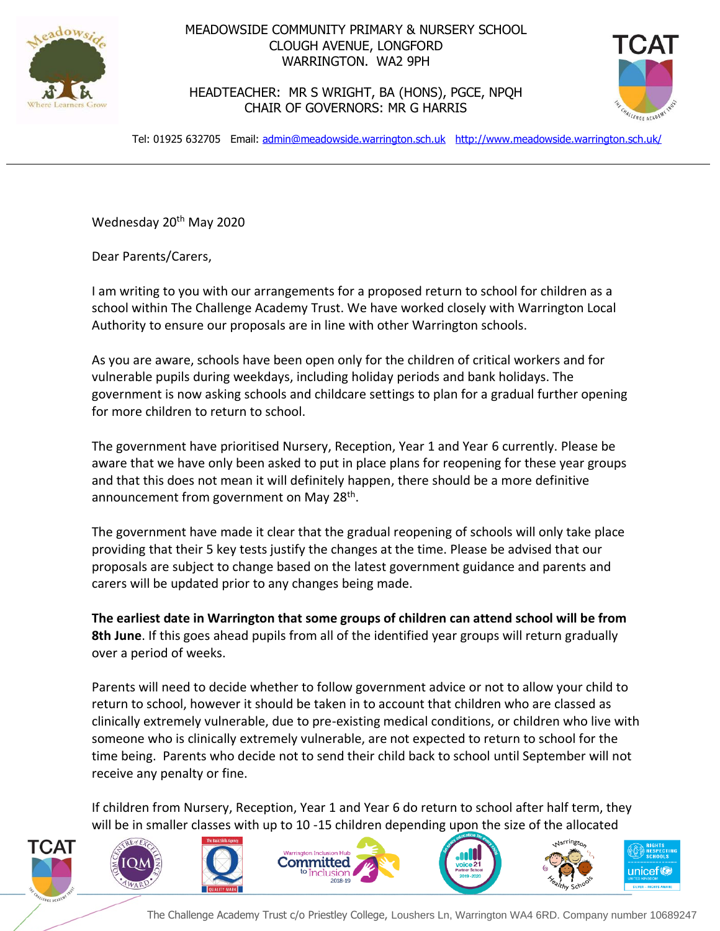

## MEADOWSIDE COMMUNITY PRIMARY & NURSERY SCHOOL CLOUGH AVENUE, LONGFORD WARRINGTON. WA2 9PH

HEADTEACHER: MR S WRIGHT, BA (HONS), PGCE, NPQH CHAIR OF GOVERNORS: MR G HARRIS



Tel: 01925 632705 Email: [admin@meadowside.warrington.sch.uk](mailto:admin@meadowside.warrington.sch.uk) <http://www.meadowside.warrington.sch.uk/>

Wednesday 20<sup>th</sup> May 2020

Dear Parents/Carers,

I am writing to you with our arrangements for a proposed return to school for children as a school within The Challenge Academy Trust. We have worked closely with Warrington Local Authority to ensure our proposals are in line with other Warrington schools.

As you are aware, schools have been open only for the children of critical workers and for vulnerable pupils during weekdays, including holiday periods and bank holidays. The government is now asking schools and childcare settings to plan for a gradual further opening for more children to return to school.

The government have prioritised Nursery, Reception, Year 1 and Year 6 currently. Please be aware that we have only been asked to put in place plans for reopening for these year groups and that this does not mean it will definitely happen, there should be a more definitive announcement from government on May 28<sup>th</sup>.

The government have made it clear that the gradual reopening of schools will only take place providing that their 5 key tests justify the changes at the time. Please be advised that our proposals are subject to change based on the latest government guidance and parents and carers will be updated prior to any changes being made.

**The earliest date in Warrington that some groups of children can attend school will be from 8th June**. If this goes ahead pupils from all of the identified year groups will return gradually over a period of weeks.

Parents will need to decide whether to follow government advice or not to allow your child to return to school, however it should be taken in to account that children who are classed as clinically extremely vulnerable, due to pre-existing medical conditions, or children who live with someone who is clinically extremely vulnerable, are not expected to return to school for the time being. Parents who decide not to send their child back to school until September will not receive any penalty or fine.

If children from Nursery, Reception, Year 1 and Year 6 do return to school after half term, they will be in smaller classes with up to 10 -15 children depending upon the size of the allocated



The Challenge Academy Trust c/o Priestley College, Loushers Ln, Warrington WA4 6RD. Company number 10689247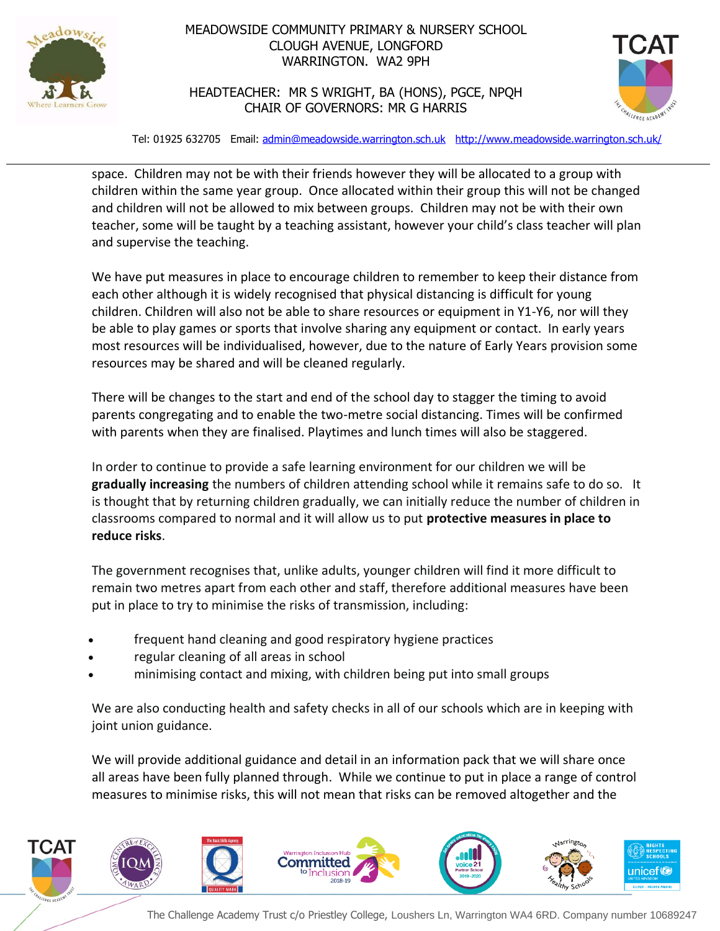

## MEADOWSIDE COMMUNITY PRIMARY & NURSERY SCHOOL CLOUGH AVENUE, LONGFORD WARRINGTON. WA2 9PH

HEADTEACHER: MR S WRIGHT, BA (HONS), PGCE, NPQH CHAIR OF GOVERNORS: MR G HARRIS



Tel: 01925 632705 Email: [admin@meadowside.warrington.sch.uk](mailto:admin@meadowside.warrington.sch.uk) <http://www.meadowside.warrington.sch.uk/>

space. Children may not be with their friends however they will be allocated to a group with children within the same year group. Once allocated within their group this will not be changed and children will not be allowed to mix between groups. Children may not be with their own teacher, some will be taught by a teaching assistant, however your child's class teacher will plan and supervise the teaching.

We have put measures in place to encourage children to remember to keep their distance from each other although it is widely recognised that physical distancing is difficult for young children. Children will also not be able to share resources or equipment in Y1-Y6, nor will they be able to play games or sports that involve sharing any equipment or contact. In early years most resources will be individualised, however, due to the nature of Early Years provision some resources may be shared and will be cleaned regularly.

There will be changes to the start and end of the school day to stagger the timing to avoid parents congregating and to enable the two-metre social distancing. Times will be confirmed with parents when they are finalised. Playtimes and lunch times will also be staggered.

In order to continue to provide a safe learning environment for our children we will be **gradually increasing** the numbers of children attending school while it remains safe to do so. It is thought that by returning children gradually, we can initially reduce the number of children in classrooms compared to normal and it will allow us to put **protective measures in place to reduce risks**.

The government recognises that, unlike adults, younger children will find it more difficult to remain two metres apart from each other and staff, therefore additional measures have been put in place to try to minimise the risks of transmission, including:

- frequent hand cleaning and good respiratory hygiene practices
- regular cleaning of all areas in school
- minimising contact and mixing, with children being put into small groups

We are also conducting health and safety checks in all of our schools which are in keeping with joint union guidance.

We will provide additional guidance and detail in an information pack that we will share once all areas have been fully planned through. While we continue to put in place a range of control measures to minimise risks, this will not mean that risks can be removed altogether and the



The Challenge Academy Trust c/o Priestley College, Loushers Ln, Warrington WA4 6RD. Company number 10689247